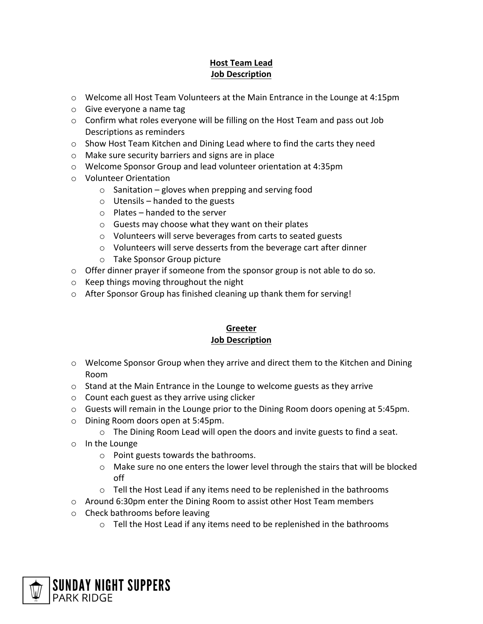## **Host Team Lead Job Description**

- $\circ$  Welcome all Host Team Volunteers at the Main Entrance in the Lounge at 4:15pm
- o Give everyone a name tag
- $\circ$  Confirm what roles everyone will be filling on the Host Team and pass out Job Descriptions as reminders
- $\circ$  Show Host Team Kitchen and Dining Lead where to find the carts they need
- o Make sure security barriers and signs are in place
- o Welcome Sponsor Group and lead volunteer orientation at 4:35pm
- o Volunteer Orientation
	- $\circ$  Sanitation gloves when prepping and serving food
	- $\circ$  Utensils handed to the guests
	- o Plates handed to the server
	- o Guests may choose what they want on their plates
	- o Volunteers will serve beverages from carts to seated guests
	- o Volunteers will serve desserts from the beverage cart after dinner
	- o Take Sponsor Group picture
- $\circ$  Offer dinner prayer if someone from the sponsor group is not able to do so.
- o Keep things moving throughout the night
- o After Sponsor Group has finished cleaning up thank them for serving!

## **Greeter Job Description**

- $\circ$  Welcome Sponsor Group when they arrive and direct them to the Kitchen and Dining Room
- o Stand at the Main Entrance in the Lounge to welcome guests as they arrive
- o Count each guest as they arrive using clicker
- $\circ$  Guests will remain in the Lounge prior to the Dining Room doors opening at 5:45pm.
- o Dining Room doors open at 5:45pm.
	- $\circ$  The Dining Room Lead will open the doors and invite guests to find a seat.
- o In the Lounge
	- o Point guests towards the bathrooms.
	- $\circ$  Make sure no one enters the lower level through the stairs that will be blocked off
	- o Tell the Host Lead if any items need to be replenished in the bathrooms
- $\circ$  Around 6:30pm enter the Dining Room to assist other Host Team members
- o Check bathrooms before leaving
	- o Tell the Host Lead if any items need to be replenished in the bathrooms

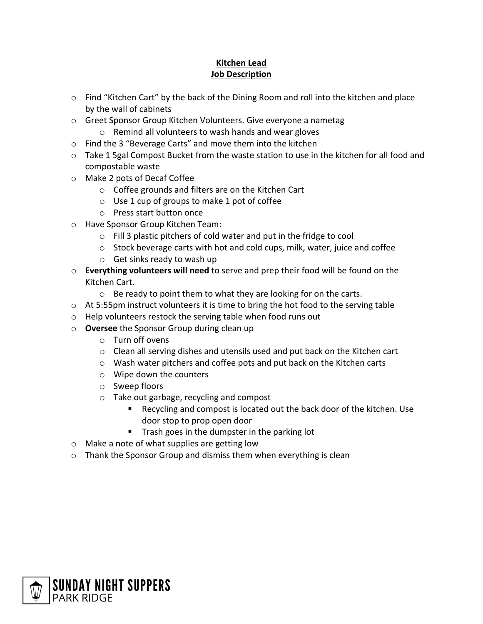## **Kitchen Lead Job Description**

- $\circ$  Find "Kitchen Cart" by the back of the Dining Room and roll into the kitchen and place by the wall of cabinets
- o Greet Sponsor Group Kitchen Volunteers. Give everyone a nametag
	- o Remind all volunteers to wash hands and wear gloves
- o Find the 3 "Beverage Carts" and move them into the kitchen
- $\circ$  Take 1 5gal Compost Bucket from the waste station to use in the kitchen for all food and compostable waste
- o Make 2 pots of Decaf Coffee
	- o Coffee grounds and filters are on the Kitchen Cart
	- $\circ$  Use 1 cup of groups to make 1 pot of coffee
	- o Press start button once
- o Have Sponsor Group Kitchen Team:
	- o Fill 3 plastic pitchers of cold water and put in the fridge to cool
	- $\circ$  Stock beverage carts with hot and cold cups, milk, water, juice and coffee
	- o Get sinks ready to wash up
- o **Everything volunteers will need** to serve and prep their food will be found on the Kitchen Cart.
	- o Be ready to point them to what they are looking for on the carts.
- $\circ$  At 5:55pm instruct volunteers it is time to bring the hot food to the serving table
- o Help volunteers restock the serving table when food runs out
- o **Oversee** the Sponsor Group during clean up
	- o Turn off ovens
	- $\circ$  Clean all serving dishes and utensils used and put back on the Kitchen cart
	- o Wash water pitchers and coffee pots and put back on the Kitchen carts
	- o Wipe down the counters
	- o Sweep floors
	- o Take out garbage, recycling and compost
		- § Recycling and compost is located out the back door of the kitchen. Use door stop to prop open door
		- Trash goes in the dumpster in the parking lot
- o Make a note of what supplies are getting low
- o Thank the Sponsor Group and dismiss them when everything is clean